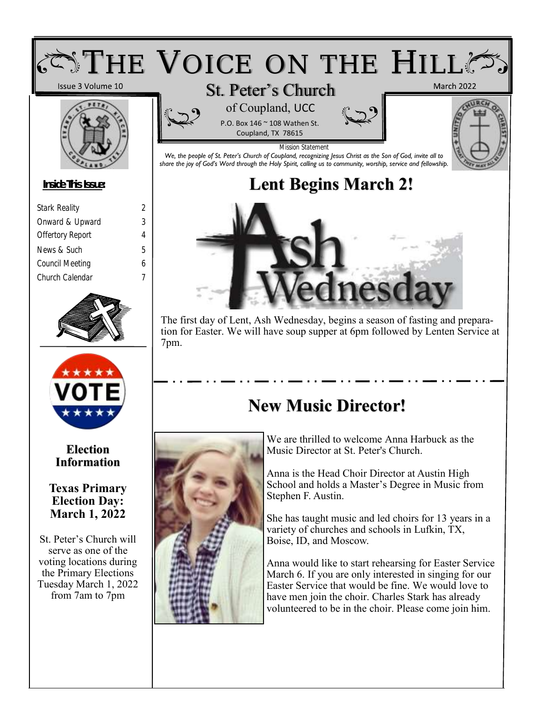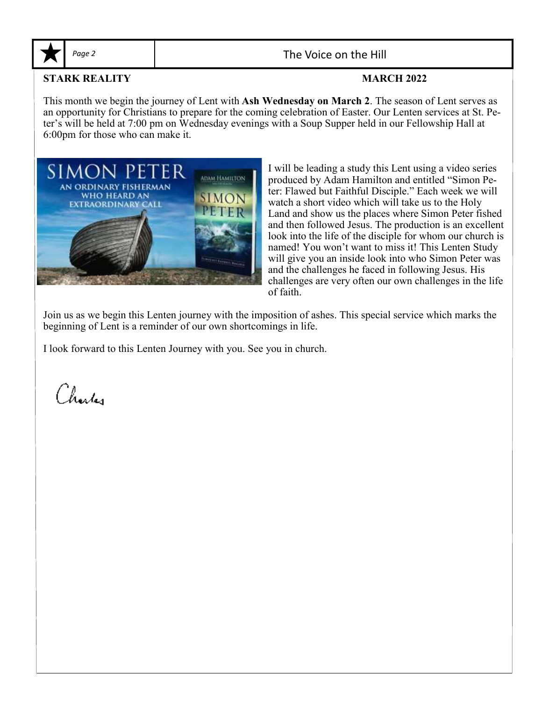

Page 2 and 1 and 1 and 2 and 2 and 2 and 2 and 2 and 2 and 2 and 2 and 2 and 2 and 2 and 2 and 2 and 2 and 2 and 2 and 2 and 2 and 2 and 2 and 2 and 2 and 2 and 2 and 2 and 2 and 2 and 2 and 2 and 2 and 2 and 2 and 2 and 2

### **STARK REALITY MARCH 2022**

This month we begin the journey of Lent with **Ash Wednesday on March 2**. The season of Lent serves as an opportunity for Christians to prepare for the coming celebration of Easter. Our Lenten services at St. Peter's will be held at 7:00 pm on Wednesday evenings with a Soup Supper held in our Fellowship Hall at 6:00pm for those who can make it.



I will be leading a study this Lent using a video series produced by Adam Hamilton and entitled "Simon Peter: Flawed but Faithful Disciple." Each week we will watch a short video which will take us to the Holy Land and show us the places where Simon Peter fished and then followed Jesus. The production is an excellent look into the life of the disciple for whom our church is named! You won't want to miss it! This Lenten Study will give you an inside look into who Simon Peter was and the challenges he faced in following Jesus. His challenges are very often our own challenges in the life of faith.

Join us as we begin this Lenten journey with the imposition of ashes. This special service which marks the beginning of Lent is a reminder of our own shortcomings in life.

I look forward to this Lenten Journey with you. See you in church.

Charles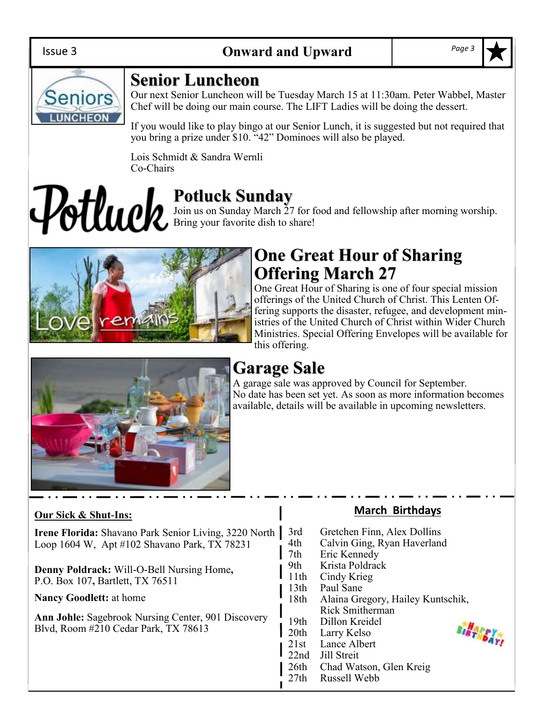

## **Senior Luncheon**

Our next Senior Luncheon will be Tuesday March 15 at 11:30am. Peter Wabbel, Master Chef will be doing our main course. The LIFT Ladies will be doing the dessert.

If you would like to play bingo at our Senior Lunch, it is suggested but not required that you bring a prize under \$10. "42" Dominoes will also be played.

Lois Schmidt & Sandra Wernli Co-Chairs

# **Potluck Sunday** Join us on Sunday March 27 for food and fellowship after morning worship. Bring your favorite dish to share!



# **One Great Hour of Sharing Offering March 27**

One Great Hour of Sharing is one of four special mission offerings of the United Church of Christ. This Lenten Offering supports the disaster, refugee, and development ministries of the United Church of Christ within Wider Church Ministries. Special Offering Envelopes will be available for this offering.



# **Garage Sale**

A garage sale was approved by Council for September. No date has been set yet. As soon as more information becomes available, details will be available in upcoming newsletters.

### **Our Sick & Shut-Ins:**

**Irene Florida:** Shavano Park Senior Living, 3220 North | Loop 1604 W, Apt #102 Shavano Park, TX 78231

**Denny Poldrack:** Will-O-Bell Nursing Home**,**  P.O. Box 107**,** Bartlett, TX 76511

**Nancy Goodlett:** at home

**Ann Johle:** Sagebrook Nursing Center, 901 Discovery Blvd, Room #210 Cedar Park, TX 78613

### **March Birthdays**

- 3rd Gretchen Finn, Alex Dollins
- 4th Calvin Ging, Ryan Haverland
- 7th Eric Kennedy
- 9th Krista Poldrack
- 11th Cindy Krieg
- 13th Paul Sane
- 18th Alaina Gregory, Hailey Kuntschik, Rick Smitherman
- 19th Dillon Kreidel
- 20th Larry Kelso 21st Lance Albert
- 22nd Jill Streit
- 
- 26th Chad Watson, Glen Kreig



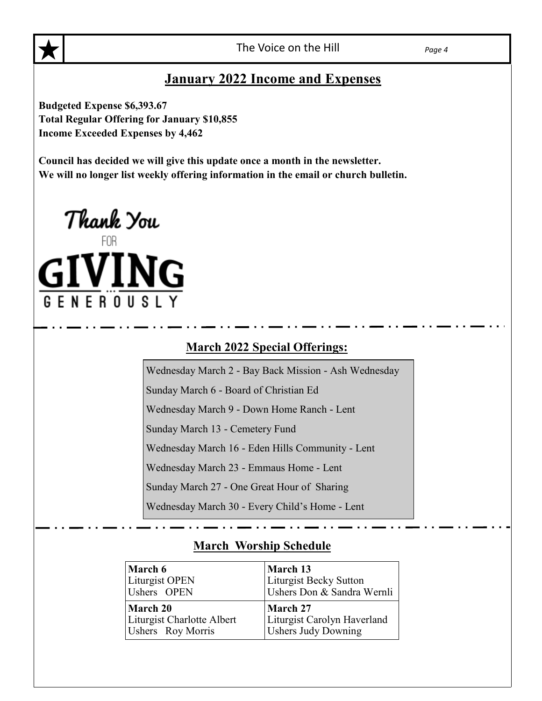### **January 2022 Income and Expenses**

**Budgeted Expense \$6,393.67 Total Regular Offering for January \$10,855 Income Exceeded Expenses by 4,462**

**Council has decided we will give this update once a month in the newsletter. We will no longer list weekly offering information in the email or church bulletin.**



### **March 2022 Special Offerings:**

Wednesday March 2 - Bay Back Mission - Ash Wednesday

Sunday March 6 - Board of Christian Ed

Wednesday March 9 - Down Home Ranch - Lent

Sunday March 13 - Cemetery Fund

Wednesday March 16 - Eden Hills Community - Lent

Wednesday March 23 - Emmaus Home - Lent

Sunday March 27 - One Great Hour of Sharing

Wednesday March 30 - Every Child's Home - Lent

### **March Worship Schedule**

| March 6                    | March 13                    |
|----------------------------|-----------------------------|
| Liturgist OPEN             | Liturgist Becky Sutton      |
| Ushers OPEN                | Ushers Don & Sandra Wernli  |
| March 20                   | March 27                    |
| Liturgist Charlotte Albert | Liturgist Carolyn Haverland |
| Ushers Roy Morris          | <b>Ushers Judy Downing</b>  |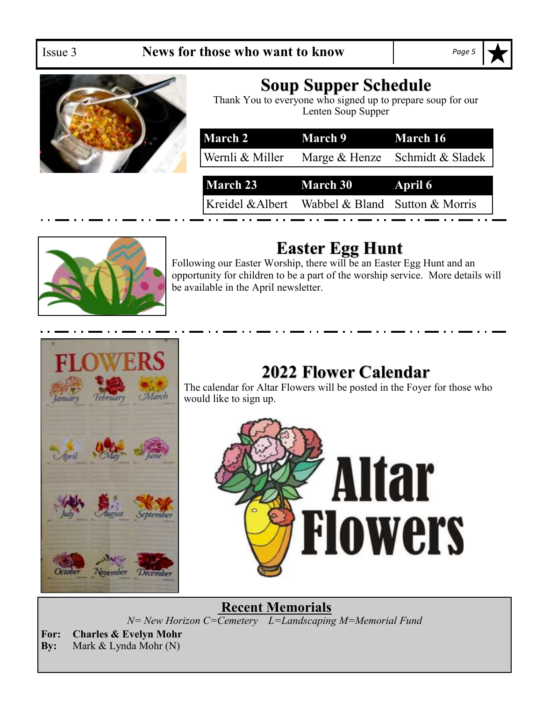

# **Soup Supper Schedule**

Thank You to everyone who signed up to prepare soup for our Lenten Soup Supper

| March 2         | March 9 March 16         |                                |  |  |
|-----------------|--------------------------|--------------------------------|--|--|
| Wernli & Miller |                          | Marge & Henze Schmidt & Sladek |  |  |
|                 |                          |                                |  |  |
|                 | <b>March 23</b> March 30 | <b>April 6</b>                 |  |  |



# **Easter Egg Hunt**

Following our Easter Worship, there will be an Easter Egg Hunt and an opportunity for children to be a part of the worship service. More details will be available in the April newsletter.



# **2022 Flower Calendar**

The calendar for Altar Flowers will be posted in the Foyer for those who would like to sign up.



**Recent Memorials** *N= New Horizon C=Cemetery L=Landscaping M=Memorial Fund*

**For: Charles & Evelyn Mohr By:** Mark & Lynda Mohr (N)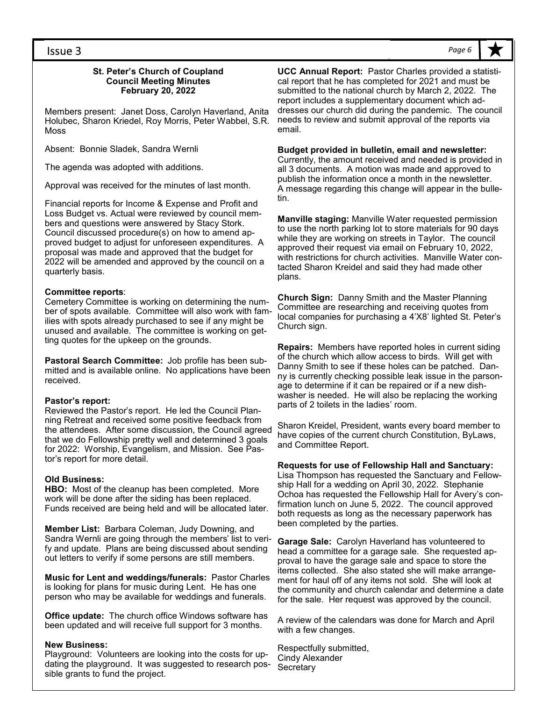#### **St. Peter's Church of Coupland Council Meeting Minutes February 20, 2022**

Members present: Janet Doss, Carolyn Haverland, Anita Holubec, Sharon Kriedel, Roy Morris, Peter Wabbel, S.R. Moss

Absent: Bonnie Sladek, Sandra Wernli

The agenda was adopted with additions.

Approval was received for the minutes of last month.

Financial reports for Income & Expense and Profit and Loss Budget vs. Actual were reviewed by council members and questions were answered by Stacy Stork. Council discussed procedure(s) on how to amend approved budget to adjust for unforeseen expenditures. A proposal was made and approved that the budget for 2022 will be amended and approved by the council on a quarterly basis.

### **Committee reports**:

Cemetery Committee is working on determining the number of spots available. Committee will also work with families with spots already purchased to see if any might be unused and available. The committee is working on getting quotes for the upkeep on the grounds.

**Pastoral Search Committee:** Job profile has been submitted and is available online. No applications have been received.

#### **Pastor's report:**

Reviewed the Pastor's report. He led the Council Planning Retreat and received some positive feedback from the attendees. After some discussion, the Council agreed that we do Fellowship pretty well and determined 3 goals for 2022: Worship, Evangelism, and Mission. See Pastor's report for more detail.

#### **Old Business:**

**HBO:** Most of the cleanup has been completed. More work will be done after the siding has been replaced. Funds received are being held and will be allocated later.

**Member List:** Barbara Coleman, Judy Downing, and Sandra Wernli are going through the members' list to verify and update. Plans are being discussed about sending out letters to verify if some persons are still members.

**Music for Lent and weddings/funerals:** Pastor Charles is looking for plans for music during Lent. He has one person who may be available for weddings and funerals.

**Office update:** The church office Windows software has been updated and will receive full support for 3 months.

#### **New Business:**

Playground: Volunteers are looking into the costs for updating the playground. It was suggested to research possible grants to fund the project.

**UCC Annual Report:** Pastor Charles provided a statistical report that he has completed for 2021 and must be submitted to the national church by March 2, 2022. The report includes a supplementary document which addresses our church did during the pandemic. The council needs to review and submit approval of the reports via email.

#### **Budget provided in bulletin, email and newsletter:**

Currently, the amount received and needed is provided in all 3 documents. A motion was made and approved to publish the information once a month in the newsletter. A message regarding this change will appear in the bulletin.

**Manville staging:** Manville Water requested permission to use the north parking lot to store materials for 90 days while they are working on streets in Taylor. The council approved their request via email on February 10, 2022, with restrictions for church activities. Manville Water contacted Sharon Kreidel and said they had made other plans.

**Church Sign:** Danny Smith and the Master Planning Committee are researching and receiving quotes from local companies for purchasing a 4'X8' lighted St. Peter's Church sign.

**Repairs:** Members have reported holes in current siding of the church which allow access to birds. Will get with Danny Smith to see if these holes can be patched. Danny is currently checking possible leak issue in the parsonage to determine if it can be repaired or if a new dishwasher is needed. He will also be replacing the working parts of 2 toilets in the ladies' room.

Sharon Kreidel, President, wants every board member to have copies of the current church Constitution, ByLaws, and Committee Report.

**Requests for use of Fellowship Hall and Sanctuary:**  Lisa Thompson has requested the Sanctuary and Fellowship Hall for a wedding on April 30, 2022. Stephanie Ochoa has requested the Fellowship Hall for Avery's confirmation lunch on June 5, 2022. The council approved both requests as long as the necessary paperwork has been completed by the parties.

**Garage Sale:** Carolyn Haverland has volunteered to head a committee for a garage sale. She requested approval to have the garage sale and space to store the items collected. She also stated she will make arrangement for haul off of any items not sold. She will look at the community and church calendar and determine a date for the sale. Her request was approved by the council.

A review of the calendars was done for March and April with a few changes.

Respectfully submitted, Cindy Alexander **Secretary** 

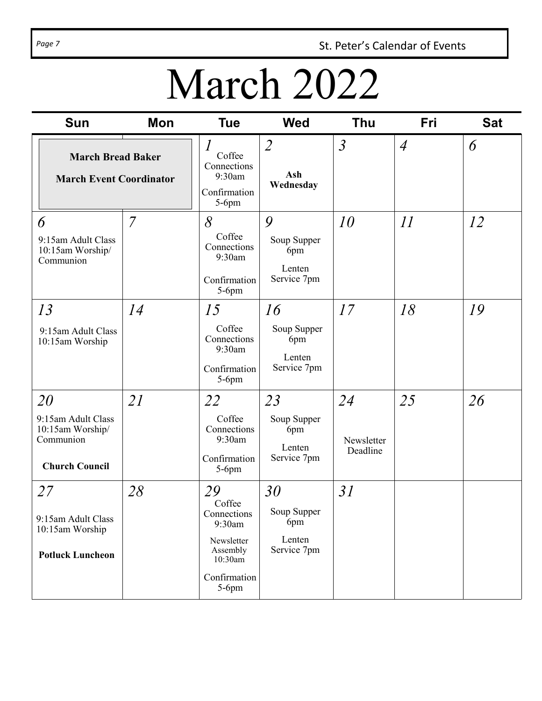Page 7 **St. Peter's Calendar of Events** 

# March 2022

| Sun                                                                                | <b>Mon</b>     | <b>Tue</b>                                                                                             | <b>Wed</b>                                        | <b>Thu</b>                   | Fri            | <b>Sat</b> |
|------------------------------------------------------------------------------------|----------------|--------------------------------------------------------------------------------------------------------|---------------------------------------------------|------------------------------|----------------|------------|
| <b>March Bread Baker</b><br><b>March Event Coordinator</b>                         |                | $\overline{I}$<br>Coffee<br>Connections<br>9:30am<br>Confirmation<br>$5-6$ pm                          | $\overline{2}$<br>Ash<br>Wednesday                | $\mathfrak{Z}$               | $\overline{A}$ | 6          |
| 6<br>9:15am Adult Class<br>10:15am Worship/<br>Communion                           | $\overline{7}$ | 8<br>Coffee<br>Connections<br>9:30am<br>Confirmation<br>$5-6$ pm                                       | 9<br>Soup Supper<br>6pm<br>Lenten<br>Service 7pm  | 10                           | II             | 12         |
| 13<br>9:15am Adult Class<br>10:15am Worship                                        | 14             | 15<br>Coffee<br>Connections<br>9:30am<br>Confirmation<br>$5-6$ pm                                      | 16<br>Soup Supper<br>6pm<br>Lenten<br>Service 7pm | 17                           | 18             | 19         |
| 20<br>9:15am Adult Class<br>10:15am Worship/<br>Communion<br><b>Church Council</b> | <i>21</i>      | 22<br>Coffee<br>Connections<br>9:30am<br>Confirmation<br>$5-6$ pm                                      | 23<br>Soup Supper<br>6pm<br>Lenten<br>Service 7pm | 24<br>Newsletter<br>Deadline | 25             | 26         |
| 27<br>9:15am Adult Class<br>10:15am Worship<br><b>Potluck Luncheon</b>             | 28             | 29<br>Coffee<br>Connections<br>9:30am<br>Newsletter<br>Assembly<br>10:30am<br>Confirmation<br>$5-6$ pm | 30<br>Soup Supper<br>6pm<br>Lenten<br>Service 7pm | 31                           |                |            |